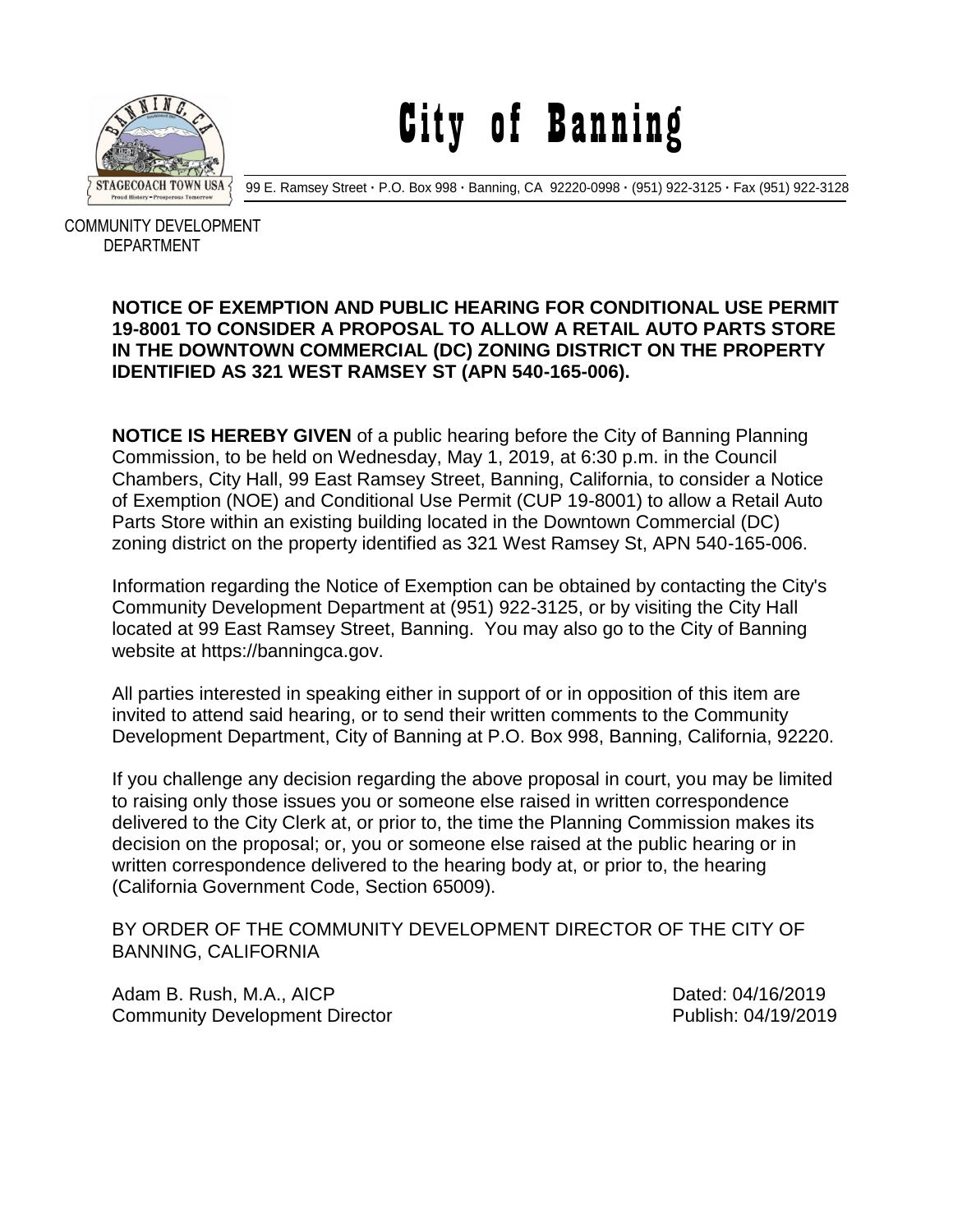

City of Banning

99 E. Ramsey Street **·** P.O. Box 998 **·** Banning, CA 92220-0998 **·** (951) 922-3125 **·** Fax (951) 922-3128

 COMMUNITY DEVELOPMENT DEPARTMENT

## **NOTICE OF EXEMPTION AND PUBLIC HEARING FOR CONDITIONAL USE PERMIT 19-8001 TO CONSIDER A PROPOSAL TO ALLOW A RETAIL AUTO PARTS STORE IN THE DOWNTOWN COMMERCIAL (DC) ZONING DISTRICT ON THE PROPERTY IDENTIFIED AS 321 WEST RAMSEY ST (APN 540-165-006).**

**NOTICE IS HEREBY GIVEN** of a public hearing before the City of Banning Planning Commission, to be held on Wednesday, May 1, 2019, at 6:30 p.m. in the Council Chambers, City Hall, 99 East Ramsey Street, Banning, California, to consider a Notice of Exemption (NOE) and Conditional Use Permit (CUP 19-8001) to allow a Retail Auto Parts Store within an existing building located in the Downtown Commercial (DC) zoning district on the property identified as 321 West Ramsey St, APN 540-165-006.

Information regarding the Notice of Exemption can be obtained by contacting the City's Community Development Department at (951) 922-3125, or by visiting the City Hall located at 99 East Ramsey Street, Banning. You may also go to the City of Banning website at https://banningca.gov.

All parties interested in speaking either in support of or in opposition of this item are invited to attend said hearing, or to send their written comments to the Community Development Department, City of Banning at P.O. Box 998, Banning, California, 92220.

If you challenge any decision regarding the above proposal in court, you may be limited to raising only those issues you or someone else raised in written correspondence delivered to the City Clerk at, or prior to, the time the Planning Commission makes its decision on the proposal; or, you or someone else raised at the public hearing or in written correspondence delivered to the hearing body at, or prior to, the hearing (California Government Code, Section 65009).

BY ORDER OF THE COMMUNITY DEVELOPMENT DIRECTOR OF THE CITY OF BANNING, CALIFORNIA

Adam B. Rush, M.A., AICP **Dated: 04/16/2019** Community Development Director **Publish: 04/19/2019**